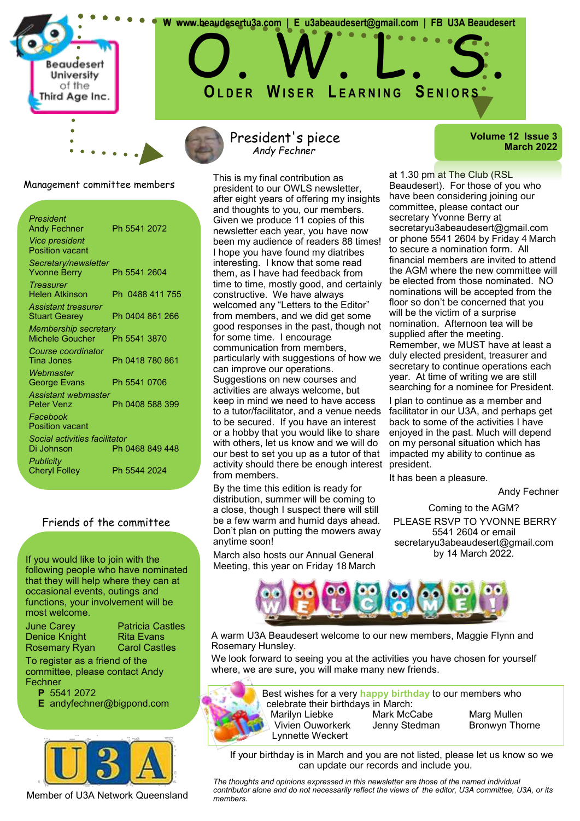

President's piece *Andy Fechner*

 **W www.beaudesertu3a.com | E u3abeaudesert@gmail.com | FB U3A Beaudesert**

O. W. L. S.

**OL D E R WI S E R L E A R N I N G SE N I O R S**

This is my final contribution as president to our OWLS newsletter, after eight years of offering my insights and thoughts to you, our members. Given we produce 11 copies of this newsletter each year, you have now been my audience of readers 88 times! I hope you have found my diatribes interesting. I know that some read them, as I have had feedback from time to time, mostly good, and certainly constructive. We have always welcomed any "Letters to the Editor" from members, and we did get some good responses in the past, though not for some time. I encourage communication from members, particularly with suggestions of how we can improve our operations. Suggestions on new courses and activities are always welcome, but keep in mind we need to have access to a tutor/facilitator, and a venue needs to be secured. If you have an interest or a hobby that you would like to share with others, let us know and we will do our best to set you up as a tutor of that activity should there be enough interest from members.

By the time this edition is ready for distribution, summer will be coming to a close, though I suspect there will still be a few warm and humid days ahead. Don't plan on putting the mowers away anytime soon!

March also hosts our Annual General Meeting, this year on Friday 18 March **Volume 12 Issue 3 March 2022**

at 1.30 pm at The Club (RSL Beaudesert). For those of you who have been considering joining our committee, please contact our secretary Yvonne Berry at secretaryu3abeaudesert@gmail.com or phone 5541 2604 by Friday 4 March to secure a nomination form. All financial members are invited to attend the AGM where the new committee will be elected from those nominated. NO nominations will be accepted from the floor so don't be concerned that you will be the victim of a surprise nomination. Afternoon tea will be supplied after the meeting. Remember, we MUST have at least a duly elected president, treasurer and secretary to continue operations each year. At time of writing we are still searching for a nominee for President.

I plan to continue as a member and facilitator in our U3A, and perhaps get back to some of the activities I have enjoyed in the past. Much will depend on my personal situation which has impacted my ability to continue as president.

It has been a pleasure.

#### Andy Fechner

Coming to the AGM? PLEASE RSVP TO YVONNE BERRY 5541 2604 or email secretaryu3abeaudesert@gmail.com by 14 March 2022.



A warm U3A Beaudesert welcome to our new members, Maggie Flynn and Rosemary Hunsley.

We look forward to seeing you at the activities you have chosen for yourself where, we are sure, you will make many new friends.



Best wishes for a very **happy birthday** to our members who celebrate their birthdays in March: Marilyn Liebke Mark McCabe Marg Mullen Vivien Ouworkerk Jenny Stedman Bronwyn Thorne

If your birthday is in March and you are not listed, please let us know so we can update our records and include you.

*The thoughts and opinions expressed in this newsletter are those of the named individual contributor alone and do not necessarily reflect the views of the editor, U3A committee, U3A, or its members.*

Management committee members

| President<br><b>Andy Fechner</b><br><b>Vice president</b><br><b>Position vacant</b> | Ph 5541 2072    |
|-------------------------------------------------------------------------------------|-----------------|
| Secretary/newsletter<br><b>Yvonne Berry</b>                                         | Ph 5541 2604    |
| <b>Treasurer</b><br><b>Helen Atkinson</b>                                           | Ph 0488 411 755 |
| <b>Assistant treasurer</b><br><b>Stuart Gearey</b>                                  | Ph 0404 861 266 |
| <b>Membership secretary</b><br>Michele Goucher                                      | Ph 5541 3870    |
| Course coordinator<br>Tina Jones                                                    | Ph 0418 780 861 |
| Webmaster<br><b>George Evans</b>                                                    | Ph 5541 0706    |
| Assistant webmaster<br>Peter Venz                                                   | Ph 0408 588 399 |
| Facebook<br><b>Position vacant</b>                                                  |                 |
| Social activities facilitator<br>Di Johnson                                         | Ph 0468 849 448 |
| <b>Publicity</b><br><b>Cheryl Folley</b>                                            | Ph 5544 2024    |

### Friends of the committee

If you would like to join with the following people who have nominated that they will help where they can at occasional events, outings and functions, your involvement will be most welcome.

June Carey Patricia Castles Denice Knight Rita Evans

Rosemary Ryan Carol Castles

To register as a friend of the committee, please contact Andy Fechner

**P** 5541 2072

**E** andyfechner@bigpond.com



Member of U3A Network Queensland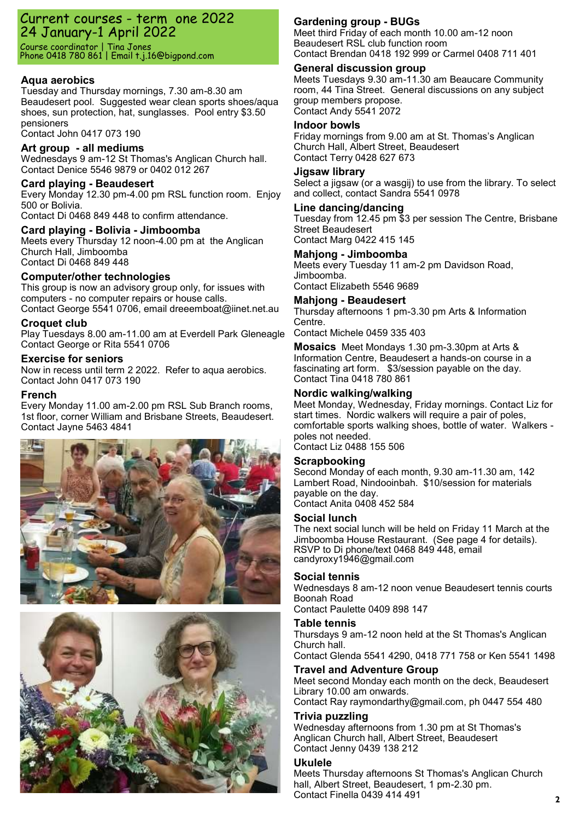## Current courses - term one 2022 24 January-1 April 2022

Course coordinator | Tina Jones Phone 0418 780 861 | Email t.j.16@bigpond.com

### **Aqua aerobics**

Tuesday and Thursday mornings, 7.30 am-8.30 am Beaudesert pool. Suggested wear clean sports shoes/aqua shoes, sun protection, hat, sunglasses. Pool entry \$3.50 pensioners

Contact John 0417 073 190

#### **Art group - all mediums**

Wednesdays 9 am-12 St Thomas's Anglican Church hall. Contact Denice 5546 9879 or 0402 012 267

#### **Card playing - Beaudesert**

Every Monday 12.30 pm-4.00 pm RSL function room. Enjoy 500 or Bolivia.

Contact Di 0468 849 448 to confirm attendance.

### **Card playing - Bolivia - Jimboomba**

Meets every Thursday 12 noon-4.00 pm at the Anglican Church Hall, Jimboomba Contact Di 0468 849 448

### **Computer/other technologies**

This group is now an advisory group only, for issues with computers - no computer repairs or house calls. Contact George 5541 0706, email dreeemboat@iinet.net.au

#### **Croquet club**

Play Tuesdays 8.00 am-11.00 am at Everdell Park Gleneagle Contact George or Rita 5541 0706

#### **Exercise for seniors**

Now in recess until term 2 2022. Refer to aqua aerobics. Contact John 0417 073 190

#### **French**

Every Monday 11.00 am-2.00 pm RSL Sub Branch rooms, 1st floor, corner William and Brisbane Streets, Beaudesert. Contact Jayne 5463 4841





### **Gardening group - BUGs**

Meet third Friday of each month 10.00 am-12 noon Beaudesert RSL club function room Contact Brendan 0418 192 999 or Carmel 0408 711 401

### **General discussion group**

Meets Tuesdays 9.30 am-11.30 am Beaucare Community room, 44 Tina Street. General discussions on any subject group members propose. Contact Andy 5541 2072

#### **Indoor bowls**

Friday mornings from 9.00 am at St. Thomas's Anglican Church Hall, Albert Street, Beaudesert Contact Terry 0428 627 673

#### **Jigsaw library**

Select a jigsaw (or a wasgij) to use from the library. To select and collect, contact Sandra 5541 0978

#### **Line dancing/dancing**

Tuesday from 12.45 pm \$3 per session The Centre, Brisbane Street Beaudesert Contact Marg 0422 415 145

#### **Mahjong - Jimboomba**

Meets every Tuesday 11 am-2 pm Davidson Road, Jimboomba. Contact Elizabeth 5546 9689

**Mahjong - Beaudesert**  Thursday afternoons 1 pm-3.30 pm Arts & Information Centre.

Contact Michele 0459 335 403

**Mosaics** Meet Mondays 1.30 pm-3.30pm at Arts & Information Centre, Beaudesert a hands-on course in a fascinating art form. \$3/session payable on the day. Contact Tina 0418 780 861

#### **Nordic walking/walking**

Meet Monday, Wednesday, Friday mornings. Contact Liz for start times. Nordic walkers will require a pair of poles, comfortable sports walking shoes, bottle of water. Walkers poles not needed.

Contact Liz 0488 155 506

#### **Scrapbooking**

Second Monday of each month, 9.30 am-11.30 am, 142 Lambert Road, Nindooinbah. \$10/session for materials payable on the day. Contact Anita 0408 452 584

#### **Social lunch**

The next social lunch will be held on Friday 11 March at the Jimboomba House Restaurant. (See page 4 for details). RSVP to Di phone/text 0468 849 448, email candyroxy1946@gmail.com

#### **Social tennis**

Wednesdays 8 am-12 noon venue Beaudesert tennis courts Boonah Road

Contact Paulette 0409 898 147

#### **Table tennis**

Thursdays 9 am-12 noon held at the St Thomas's Anglican Church hall. Contact Glenda 5541 4290, 0418 771 758 or Ken 5541 1498

#### **Travel and Adventure Group**

Meet second Monday each month on the deck, Beaudesert Library 10.00 am onwards. Contact Ray raymondarthy@gmail.com, ph 0447 554 480

#### **Trivia puzzling**

Wednesday afternoons from 1.30 pm at St Thomas's Anglican Church hall, Albert Street, Beaudesert Contact Jenny 0439 138 212

#### **Ukulele**

Meets Thursday afternoons St Thomas's Anglican Church hall, Albert Street, Beaudesert, 1 pm-2.30 pm. Contact Finella 0439 414 491 **<sup>2</sup>**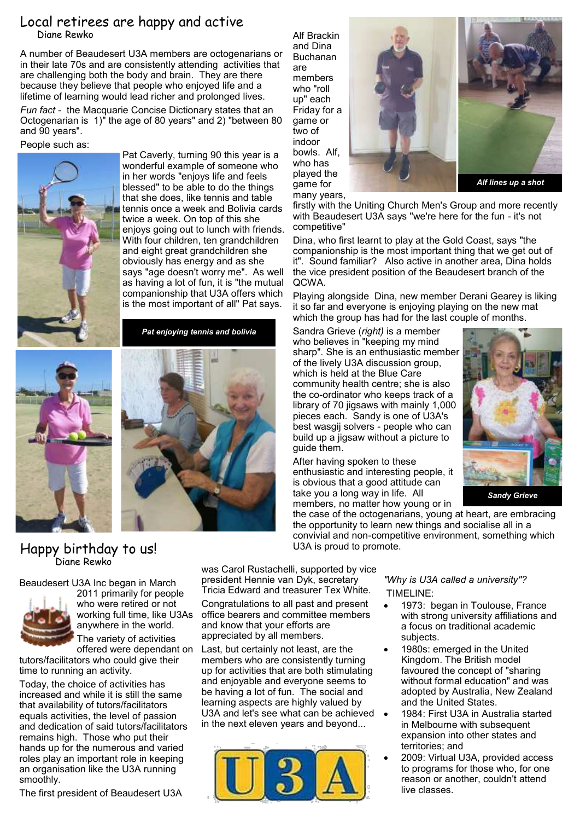## Local retirees are happy and active Diane Rewko

A number of Beaudesert U3A members are octogenarians or in their late 70s and are consistently attending activities that are challenging both the body and brain. They are there because they believe that people who enjoyed life and a lifetime of learning would lead richer and prolonged lives. *Fun fact* - the Macquarie Concise Dictionary states that an Octogenarian is 1)" the age of 80 years" and 2) "between 80 and 90 years".

People such as:



Pat Caverly, turning 90 this year is a wonderful example of someone who in her words "enjoys life and feels blessed" to be able to do the things that she does, like tennis and table tennis once a week and Bolivia cards twice a week. On top of this she enjoys going out to lunch with friends. With four children, ten grandchildren and eight great grandchildren she obviously has energy and as she says "age doesn't worry me". As well as having a lot of fun, it is "the mutual companionship that U3A offers which is the most important of all" Pat says.

*Pat enjoying tennis and bolivia*





Alf Brackin and Dina Buchanan are members who "roll up" each Friday for a game or two of indoor bowls. Alf, who has played the

game for



many years, firstly with the Uniting Church Men's Group and more recently with Beaudesert U3A says "we're here for the fun - it's not competitive"

Dina, who first learnt to play at the Gold Coast, says "the companionship is the most important thing that we get out of it". Sound familiar? Also active in another area, Dina holds the vice president position of the Beaudesert branch of the QCWA.

Playing alongside Dina, new member Derani Gearey is liking it so far and everyone is enjoying playing on the new mat which the group has had for the last couple of months.

the case of the octogenarians, young at heart, are embracing the opportunity to learn new things and socialise all in a convivial and non-competitive environment, something which

Sandra Grieve (*right)* is a member who believes in "keeping my mind sharp". She is an enthusiastic member of the lively U3A discussion group, which is held at the Blue Care community health centre; she is also the co-ordinator who keeps track of a library of 70 jigsaws with mainly 1,000 pieces each. Sandy is one of U3A's best wasgij solvers - people who can build up a jigsaw without a picture to guide them.

After having spoken to these enthusiastic and interesting people, it is obvious that a good attitude can take you a long way in life. All members, no matter how young or in

U3A is proud to promote.

*Sandy Grieve*

## Happy birthday to us! Diane Rewko

Beaudesert U3A Inc began in March



2011 primarily for people who were retired or not working full time, like U3As anywhere in the world. The variety of activities

tutors/facilitators who could give their time to running an activity.

Today, the choice of activities has increased and while it is still the same that availability of tutors/facilitators equals activities, the level of passion and dedication of said tutors/facilitators remains high. Those who put their hands up for the numerous and varied roles play an important role in keeping an organisation like the U3A running smoothly.

The first president of Beaudesert U3A

was Carol Rustachelli, supported by vice president Hennie van Dyk, secretary Tricia Edward and treasurer Tex White.

Congratulations to all past and present office bearers and committee members and know that your efforts are appreciated by all members.

offered were dependant on Last, but certainly not least, are the members who are consistently turning up for activities that are both stimulating and enjoyable and everyone seems to be having a lot of fun. The social and learning aspects are highly valued by U3A and let's see what can be achieved in the next eleven years and beyond...



*"Why is U3A called a university"?*  TIMELINE:

- 1973: began in Toulouse, France with strong university affiliations and a focus on traditional academic subjects.
- 1980s: emerged in the United Kingdom. The British model favoured the concept of "sharing without formal education" and was adopted by Australia, New Zealand and the United States.
- 1984: First U3A in Australia started in Melbourne with subsequent expansion into other states and territories; and
- 2009: Virtual U3A, provided access to programs for those who, for one reason or another, couldn't attend live classes.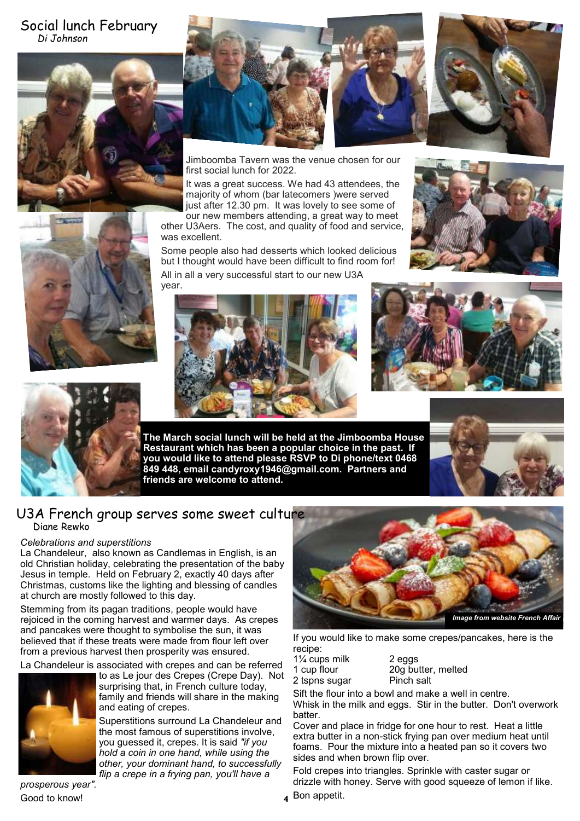## Social lunch February *Di Johnson*





Jimboomba Tavern was the venue chosen for our first social lunch for 2022.

It was a great success. We had 43 attendees, the majority of whom (bar latecomers )were served just after 12.30 pm. It was lovely to see some of

our new members attending, a great way to meet other U3Aers. The cost, and quality of food and service, was excellent.

Some people also had desserts which looked delicious but I thought would have been difficult to find room for! All in all a very successful start to our new U3A







**The March social lunch will be held at the Jimboomba House Restaurant which has been a popular choice in the past. If you would like to attend please RSVP to Di phone/text 0468 849 448, email candyroxy1946@gmail.com. Partners and friends are welcome to attend.**



## U3A French group serves some sweet culture Diane Rewko

#### *Celebrations and superstitions*

La Chandeleur, also known as Candlemas in English, is an old Christian holiday, celebrating the presentation of the baby Jesus in temple. Held on February 2, exactly 40 days after Christmas, customs like the lighting and blessing of candles at church are mostly followed to this day.

Stemming from its pagan traditions, people would have rejoiced in the coming harvest and warmer days. As crepes and pancakes were thought to symbolise the sun, it was believed that if these treats were made from flour left over from a previous harvest then prosperity was ensured.

La Chandeleur is associated with crepes and can be referred to as Le jour des Crepes (Crepe Day). Not



surprising that, in French culture today, family and friends will share in the making and eating of crepes.

Superstitions surround La Chandeleur and the most famous of superstitions involve, you guessed it, crepes. It is said *"if you hold a coin in one hand, while using the other, your dominant hand, to successfully flip a crepe in a frying pan, you'll have a* 

*prosperous year".* Good to know!



If you would like to make some crepes/pancakes, here is the recipe:

| . <b>.</b>     |  |
|----------------|--|
| 11/4 cups milk |  |
| 1 cup flour    |  |
| 2 tspns sugar  |  |

2 eggs 20g butter, melted Pinch salt

Sift the flour into a bowl and make a well in centre. Whisk in the milk and eggs. Stir in the butter. Don't overwork batter.

Cover and place in fridge for one hour to rest. Heat a little extra butter in a non-stick frying pan over medium heat until foams. Pour the mixture into a heated pan so it covers two sides and when brown flip over.

Fold crepes into triangles. Sprinkle with caster sugar or drizzle with honey. Serve with good squeeze of lemon if like.

Bon appetit. **4**

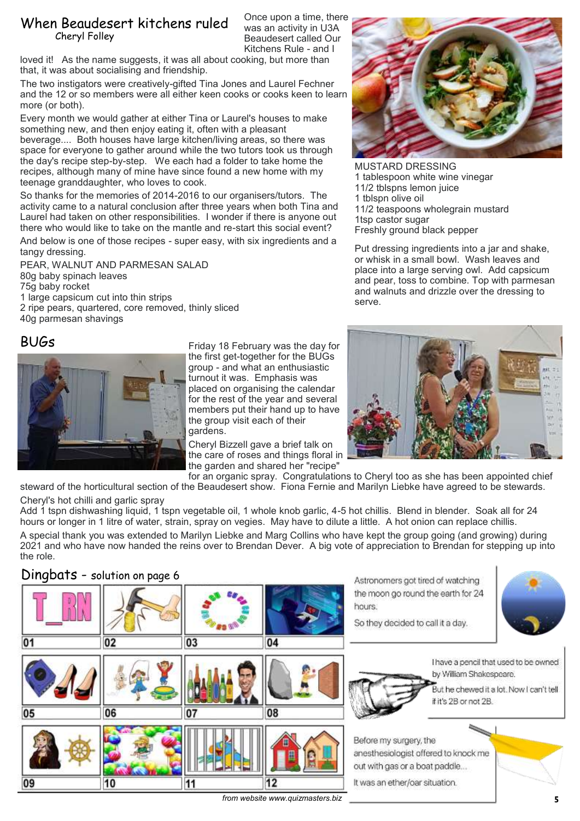## When Beaudesert kitchens ruled Cheryl Folley

Once upon a time, there was an activity in U3A Beaudesert called Our Kitchens Rule - and I

loved it! As the name suggests, it was all about cooking, but more than that, it was about socialising and friendship.

The two instigators were creatively-gifted Tina Jones and Laurel Fechner and the 12 or so members were all either keen cooks or cooks keen to learn more (or both).

Every month we would gather at either Tina or Laurel's houses to make something new, and then enjoy eating it, often with a pleasant beverage.... Both houses have large kitchen/living areas, so there was space for everyone to gather around while the two tutors took us through

the day's recipe step-by-step. We each had a folder to take home the recipes, although many of mine have since found a new home with my teenage granddaughter, who loves to cook.

So thanks for the memories of 2014-2016 to our organisers/tutors. The activity came to a natural conclusion after three years when both Tina and Laurel had taken on other responsibilities. I wonder if there is anyone out there who would like to take on the mantle and re-start this social event?

And below is one of those recipes - super easy, with six ingredients and a tangy dressing.

PEAR, WALNUT AND PARMESAN SALAD 80g baby spinach leaves 75g baby rocket 1 large capsicum cut into thin strips 2 ripe pears, quartered, core removed, thinly sliced 40g parmesan shavings

# BUGs



Friday 18 February was the day for the first get-together for the BUGs group - and what an enthusiastic turnout it was. Emphasis was placed on organising the calendar for the rest of the year and several members put their hand up to have the group visit each of their gardens.

Cheryl Bizzell gave a brief talk on the care of roses and things floral in the garden and shared her "recipe"



MUSTARD DRESSING 1 tablespoon white wine vinegar 11/2 tblspns lemon juice 1 tblspn olive oil 11/2 teaspoons wholegrain mustard 1tsp castor sugar Freshly ground black pepper

Put dressing ingredients into a jar and shake, or whisk in a small bowl. Wash leaves and place into a large serving owl. Add capsicum and pear, toss to combine. Top with parmesan and walnuts and drizzle over the dressing to serve.



for an organic spray. Congratulations to Cheryl too as she has been appointed chief steward of the horticultural section of the Beaudesert show. Fiona Fernie and Marilyn Liebke have agreed to be stewards. Cheryl's hot chilli and garlic spray

Add 1 tspn dishwashing liquid, 1 tspn vegetable oil, 1 whole knob garlic, 4-5 hot chillis. Blend in blender. Soak all for 24 hours or longer in 1 litre of water, strain, spray on vegies. May have to dilute a little. A hot onion can replace chillis.

A special thank you was extended to Marilyn Liebke and Marg Collins who have kept the group going (and growing) during 2021 and who have now handed the reins over to Brendan Dever. A big vote of appreciation to Brendan for stepping up into the role.

## Dingbats - solution on page 6



 $from$  website www.quizmasters.biz